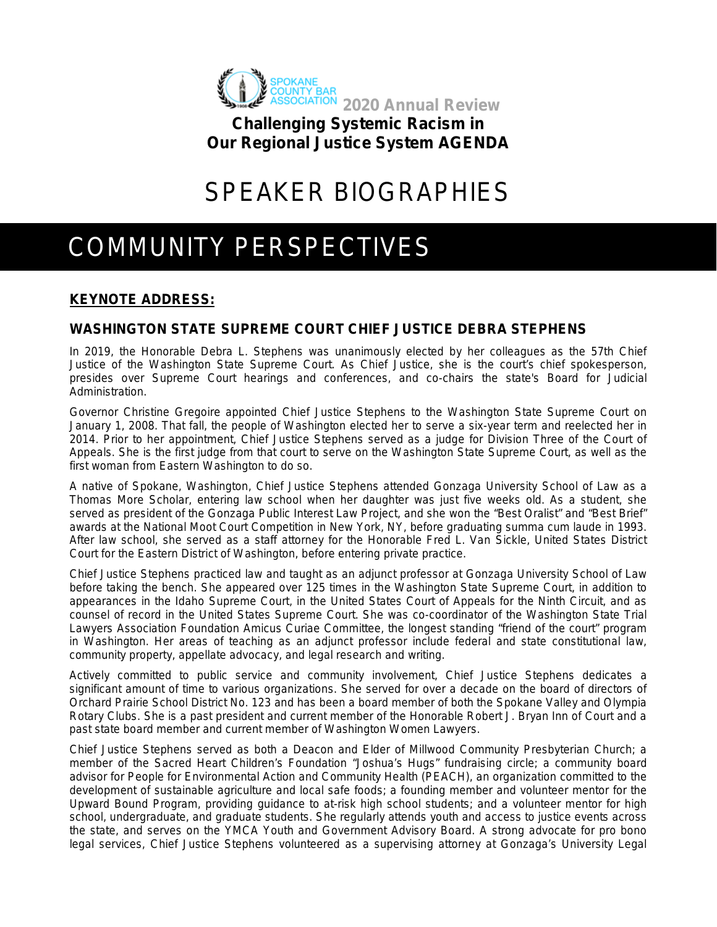

**Challenging Systemic Racism in Our Regional Justice System AGENDA**

# SPEAKER BIOGRAPHIES

# COMMUNITY PERSPECTIVES

# **KEYNOTE ADDRESS:**

# **WASHINGTON STATE SUPREME COURT CHIEF JUSTICE DEBRA STEPHENS**

In 2019, the Honorable Debra L. Stephens was unanimously elected by her colleagues as the 57th Chief Justice of the Washington State Supreme Court. As Chief Justice, she is the court's chief spokesperson, presides over Supreme Court hearings and conferences, and co-chairs the state's Board for Judicial Administration.

Governor Christine Gregoire appointed Chief Justice Stephens to the Washington State Supreme Court on January 1, 2008. That fall, the people of Washington elected her to serve a six-year term and reelected her in 2014. Prior to her appointment, Chief Justice Stephens served as a judge for Division Three of the Court of Appeals. She is the first judge from that court to serve on the Washington State Supreme Court, as well as the first woman from Eastern Washington to do so.

A native of Spokane, Washington, Chief Justice Stephens attended Gonzaga University School of Law as a Thomas More Scholar, entering law school when her daughter was just five weeks old. As a student, she served as president of the Gonzaga Public Interest Law Project, and she won the "Best Oralist" and "Best Brief" awards at the National Moot Court Competition in New York, NY, before graduating summa cum laude in 1993. After law school, she served as a staff attorney for the Honorable Fred L. Van Sickle, United States District Court for the Eastern District of Washington, before entering private practice.

Chief Justice Stephens practiced law and taught as an adjunct professor at Gonzaga University School of Law before taking the bench. She appeared over 125 times in the Washington State Supreme Court, in addition to appearances in the Idaho Supreme Court, in the United States Court of Appeals for the Ninth Circuit, and as counsel of record in the United States Supreme Court. She was co-coordinator of the Washington State Trial Lawyers Association Foundation Amicus Curiae Committee, the longest standing "friend of the court" program in Washington. Her areas of teaching as an adjunct professor include federal and state constitutional law, community property, appellate advocacy, and legal research and writing.

Actively committed to public service and community involvement, Chief Justice Stephens dedicates a significant amount of time to various organizations. She served for over a decade on the board of directors of Orchard Prairie School District No. 123 and has been a board member of both the Spokane Valley and Olympia Rotary Clubs. She is a past president and current member of the Honorable Robert J. Bryan Inn of Court and a past state board member and current member of Washington Women Lawyers.

Chief Justice Stephens served as both a Deacon and Elder of Millwood Community Presbyterian Church; a member of the Sacred Heart Children's Foundation "Joshua's Hugs" fundraising circle; a community board advisor for People for Environmental Action and Community Health (PEACH), an organization committed to the development of sustainable agriculture and local safe foods; a founding member and volunteer mentor for the Upward Bound Program, providing guidance to at-risk high school students; and a volunteer mentor for high school, undergraduate, and graduate students. She regularly attends youth and access to justice events across the state, and serves on the YMCA Youth and Government Advisory Board. A strong advocate for pro bono legal services, Chief Justice Stephens volunteered as a supervising attorney at Gonzaga's University Legal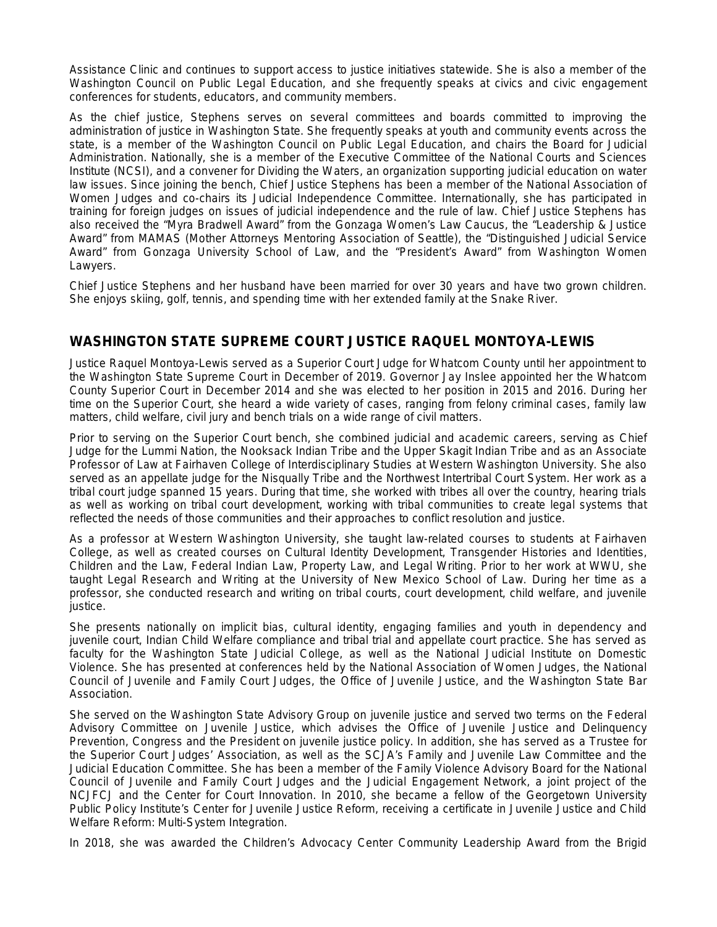Assistance Clinic and continues to support access to justice initiatives statewide. She is also a member of the Washington Council on Public Legal Education, and she frequently speaks at civics and civic engagement conferences for students, educators, and community members.

As the chief justice, Stephens serves on several committees and boards committed to improving the administration of justice in Washington State. She frequently speaks at youth and community events across the state, is a member of the Washington Council on Public Legal Education, and chairs the Board for Judicial Administration. Nationally, she is a member of the Executive Committee of the National Courts and Sciences Institute (NCSI), and a convener for Dividing the Waters, an organization supporting judicial education on water law issues. Since joining the bench, Chief Justice Stephens has been a member of the National Association of Women Judges and co-chairs its Judicial Independence Committee. Internationally, she has participated in training for foreign judges on issues of judicial independence and the rule of law. Chief Justice Stephens has also received the "Myra Bradwell Award" from the Gonzaga Women's Law Caucus, the "Leadership & Justice Award" from MAMAS (Mother Attorneys Mentoring Association of Seattle), the "Distinguished Judicial Service Award" from Gonzaga University School of Law, and the "President's Award" from Washington Women Lawyers.

Chief Justice Stephens and her husband have been married for over 30 years and have two grown children. She enjoys skiing, golf, tennis, and spending time with her extended family at the Snake River.

# **WASHINGTON STATE SUPREME COURT JUSTICE RAQUEL MONTOYA-LEWIS**

Justice Raquel Montoya-Lewis served as a Superior Court Judge for Whatcom County until her appointment to the Washington State Supreme Court in December of 2019. Governor Jay Inslee appointed her the Whatcom County Superior Court in December 2014 and she was elected to her position in 2015 and 2016. During her time on the Superior Court, she heard a wide variety of cases, ranging from felony criminal cases, family law matters, child welfare, civil jury and bench trials on a wide range of civil matters.

Prior to serving on the Superior Court bench, she combined judicial and academic careers, serving as Chief Judge for the Lummi Nation, the Nooksack Indian Tribe and the Upper Skagit Indian Tribe and as an Associate Professor of Law at Fairhaven College of Interdisciplinary Studies at Western Washington University. She also served as an appellate judge for the Nisqually Tribe and the Northwest Intertribal Court System. Her work as a tribal court judge spanned 15 years. During that time, she worked with tribes all over the country, hearing trials as well as working on tribal court development, working with tribal communities to create legal systems that reflected the needs of those communities and their approaches to conflict resolution and justice.

As a professor at Western Washington University, she taught law-related courses to students at Fairhaven College, as well as created courses on Cultural Identity Development, Transgender Histories and Identities, Children and the Law, Federal Indian Law, Property Law, and Legal Writing. Prior to her work at WWU, she taught Legal Research and Writing at the University of New Mexico School of Law. During her time as a professor, she conducted research and writing on tribal courts, court development, child welfare, and juvenile justice.

She presents nationally on implicit bias, cultural identity, engaging families and youth in dependency and juvenile court, Indian Child Welfare compliance and tribal trial and appellate court practice. She has served as faculty for the Washington State Judicial College, as well as the National Judicial Institute on Domestic Violence. She has presented at conferences held by the National Association of Women Judges, the National Council of Juvenile and Family Court Judges, the Office of Juvenile Justice, and the Washington State Bar Association.

She served on the Washington State Advisory Group on juvenile justice and served two terms on the Federal Advisory Committee on Juvenile Justice, which advises the Office of Juvenile Justice and Delinquency Prevention, Congress and the President on juvenile justice policy. In addition, she has served as a Trustee for the Superior Court Judges' Association, as well as the SCJA's Family and Juvenile Law Committee and the Judicial Education Committee. She has been a member of the Family Violence Advisory Board for the National Council of Juvenile and Family Court Judges and the Judicial Engagement Network, a joint project of the NCJFCJ and the Center for Court Innovation. In 2010, she became a fellow of the Georgetown University Public Policy Institute's Center for Juvenile Justice Reform, receiving a certificate in Juvenile Justice and Child Welfare Reform: Multi-System Integration.

In 2018, she was awarded the Children's Advocacy Center Community Leadership Award from the Brigid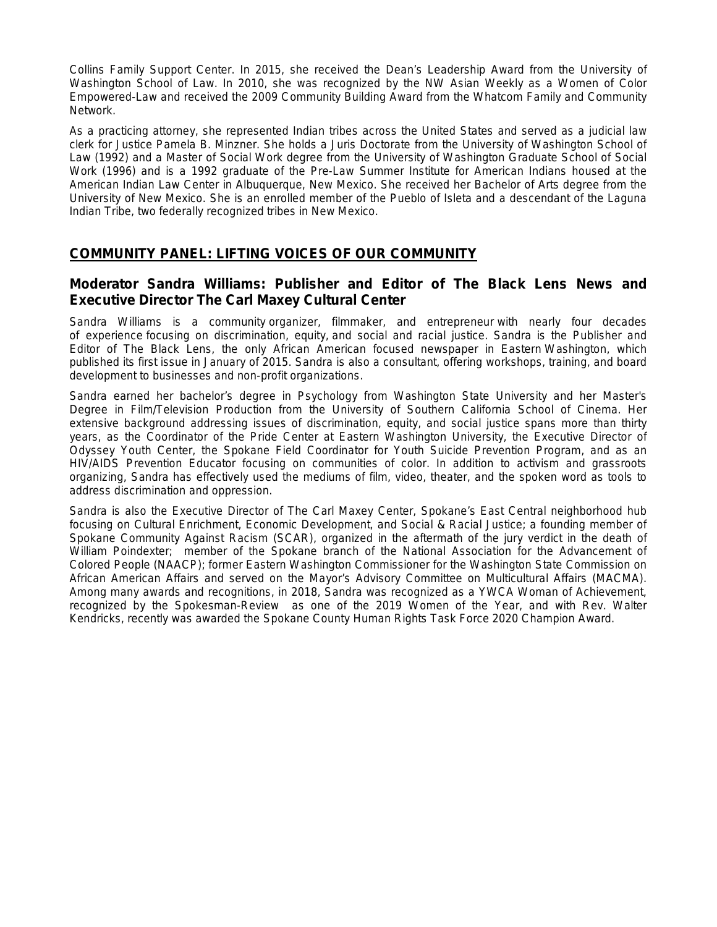Collins Family Support Center. In 2015, she received the Dean's Leadership Award from the University of Washington School of Law. In 2010, she was recognized by the NW Asian Weekly as a Women of Color Empowered-Law and received the 2009 Community Building Award from the Whatcom Family and Community Network.

As a practicing attorney, she represented Indian tribes across the United States and served as a judicial law clerk for Justice Pamela B. Minzner. She holds a Juris Doctorate from the University of Washington School of Law (1992) and a Master of Social Work degree from the University of Washington Graduate School of Social Work (1996) and is a 1992 graduate of the Pre-Law Summer Institute for American Indians housed at the American Indian Law Center in Albuquerque, New Mexico. She received her Bachelor of Arts degree from the University of New Mexico. She is an enrolled member of the Pueblo of Isleta and a descendant of the Laguna Indian Tribe, two federally recognized tribes in New Mexico.

## **COMMUNITY PANEL: LIFTING VOICES OF OUR COMMUNITY**

## **Moderator Sandra Williams: Publisher and Editor of The Black Lens News and Executive Director The Carl Maxey Cultural Center**

Sandra Williams is a community organizer, filmmaker, and entrepreneur with nearly four decades of experience focusing on discrimination, equity, and social and racial justice. Sandra is the Publisher and Editor of The Black Lens, the only African American focused newspaper in Eastern Washington, which published its first issue in January of 2015. Sandra is also a consultant, offering workshops, training, and board development to businesses and non-profit organizations.

Sandra earned her bachelor's degree in Psychology from Washington State University and her Master's Degree in Film/Television Production from the University of Southern California School of Cinema. Her extensive background addressing issues of discrimination, equity, and social justice spans more than thirty years, as the Coordinator of the Pride Center at Eastern Washington University, the Executive Director of Odyssey Youth Center, the Spokane Field Coordinator for Youth Suicide Prevention Program, and as an HIV/AIDS Prevention Educator focusing on communities of color. In addition to activism and grassroots organizing, Sandra has effectively used the mediums of film, video, theater, and the spoken word as tools to address discrimination and oppression.

Sandra is also the Executive Director of The Carl Maxey Center, Spokane's East Central neighborhood hub focusing on Cultural Enrichment, Economic Development, and Social & Racial Justice; a founding member of Spokane Community Against Racism (SCAR), organized in the aftermath of the jury verdict in the death of William Poindexter; member of the Spokane branch of the National Association for the Advancement of Colored People (NAACP); former Eastern Washington Commissioner for the Washington State Commission on African American Affairs and served on the Mayor's Advisory Committee on Multicultural Affairs (MACMA). Among many awards and recognitions, in 2018, Sandra was recognized as a YWCA Woman of Achievement, recognized by the Spokesman-Review as one of the 2019 Women of the Year, and with Rev. Walter Kendricks, recently was awarded the Spokane County Human Rights Task Force 2020 Champion Award.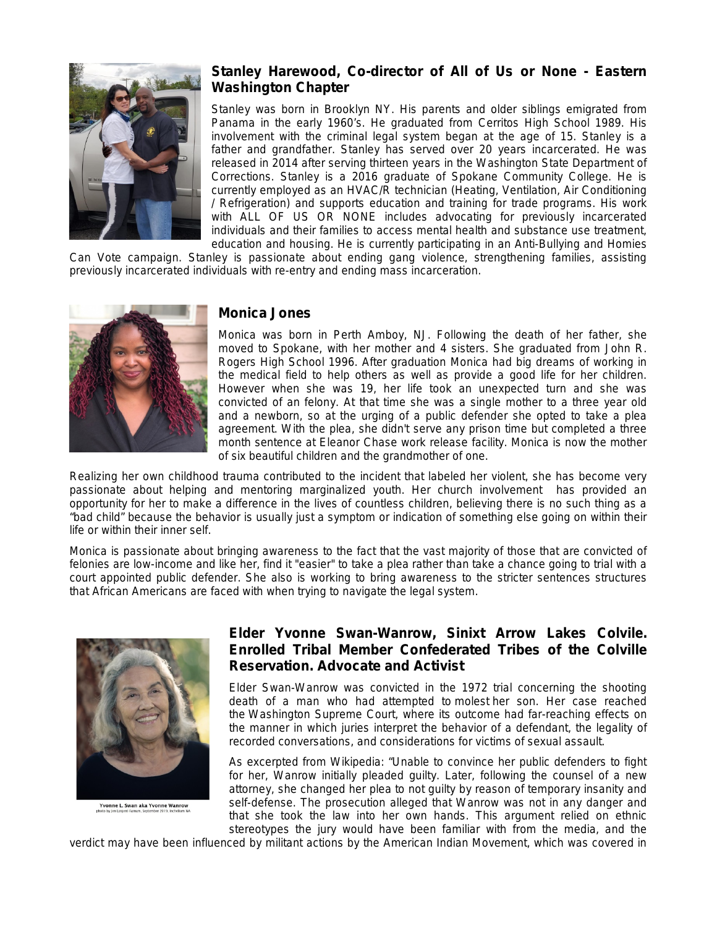

# **Stanley Harewood, Co-director of All of Us or None - Eastern Washington Chapter**

Stanley was born in Brooklyn NY. His parents and older siblings emigrated from Panama in the early 1960's. He graduated from Cerritos High School 1989. His involvement with the criminal legal system began at the age of 15. Stanley is a father and grandfather. Stanley has served over 20 years incarcerated. He was released in 2014 after serving thirteen years in the Washington State Department of Corrections. Stanley is a 2016 graduate of Spokane Community College. He is currently employed as an HVAC/R technician (Heating, Ventilation, Air Conditioning / Refrigeration) and supports education and training for trade programs. His work with ALL OF US OR NONE includes advocating for previously incarcerated individuals and their families to access mental health and substance use treatment, education and housing. He is currently participating in an Anti-Bullying and Homies

Can Vote campaign. Stanley is passionate about ending gang violence, strengthening families, assisting previously incarcerated individuals with re-entry and ending mass incarceration.



#### **Monica Jones**

Monica was born in Perth Amboy, NJ. Following the death of her father, she moved to Spokane, with her mother and 4 sisters. She graduated from John R. Rogers High School 1996. After graduation Monica had big dreams of working in the medical field to help others as well as provide a good life for her children. However when she was 19, her life took an unexpected turn and she was convicted of an felony. At that time she was a single mother to a three year old and a newborn, so at the urging of a public defender she opted to take a plea agreement. With the plea, she didn't serve any prison time but completed a three month sentence at Eleanor Chase work release facility. Monica is now the mother of six beautiful children and the grandmother of one.

Realizing her own childhood trauma contributed to the incident that labeled her violent, she has become very passionate about helping and mentoring marginalized youth. Her church involvement has provided an opportunity for her to make a difference in the lives of countless children, believing there is no such thing as a "bad child" because the behavior is usually just a symptom or indication of something else going on within their life or within their inner self.

Monica is passionate about bringing awareness to the fact that the vast majority of those that are convicted of felonies are low-income and like her, find it "easier" to take a plea rather than take a chance going to trial with a court appointed public defender. She also is working to bring awareness to the stricter sentences structures that African Americans are faced with when trying to navigate the legal system.



Yvonne L. Swan aka Yvonne Wanrow

## **Elder Yvonne Swan-Wanrow, Sinixt Arrow Lakes Colvile. Enrolled Tribal Member Confederated Tribes of the Colville Reservation. Advocate and Activist**

Elder Swan-Wanrow was convicted in the 1972 trial concerning the shooting death of a man who had attempted to [molest](https://en.wikipedia.org/wiki/Sexual_abuse) her son. Her case reached the [Washington Supreme Court,](https://en.wikipedia.org/wiki/Washington_Supreme_Court) where its outcome had far-reaching effects on the manner in which juries interpret the behavior of a defendant, the legality of recorded conversations, and considerations for victims of sexual assault.

As excerpted from Wikipedia: "Unable to convince her public defenders to fight for her, Wanrow initially pleaded guilty. Later, following the counsel of a new attorney, she changed her plea to not guilty by reason of temporary insanity and self-defense. The prosecution alleged that Wanrow was not in any danger and that she took the law into her own hands. This argument relied on ethnic stereotypes the jury would have been familiar with from the media, and the

verdict may have been influenced by militant actions by the American Indian Movement, which was covered in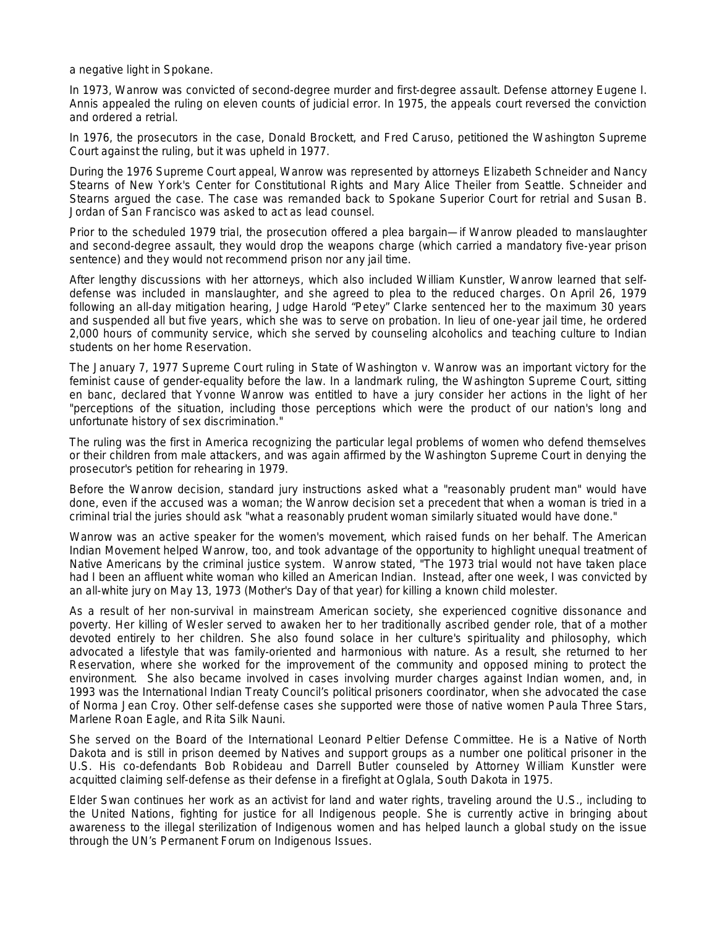a negative light in Spokane.

In 1973, Wanrow was convicted of second-degree murder and first-degree assault. Defense attorney Eugene I. Annis appealed the ruling on eleven counts of judicial error. In 1975, the appeals court reversed the conviction and ordered a retrial.

In 1976, the prosecutors in the case, Donald Brockett, and Fred Caruso, petitioned the Washington Supreme Court against the ruling, but it was upheld in 1977.

During the 1976 Supreme Court appeal, Wanrow was represented by attorneys Elizabeth Schneider and Nancy Stearns of New York's Center for Constitutional Rights and Mary Alice Theiler from Seattle. Schneider and Stearns argued the case. The case was remanded back to Spokane Superior Court for retrial and Susan B. Jordan of San Francisco was asked to act as lead counsel.

Prior to the scheduled 1979 trial, the prosecution offered a plea bargain—if Wanrow pleaded to manslaughter and second-degree assault, they would drop the weapons charge (which carried a mandatory five-year prison sentence) and they would not recommend prison nor any jail time.

After lengthy discussions with her attorneys, which also included William Kunstler, Wanrow learned that selfdefense was included in manslaughter, and she agreed to plea to the reduced charges. On April 26, 1979 following an all-day mitigation hearing, Judge Harold "Petey" Clarke sentenced her to the maximum 30 years and suspended all but five years, which she was to serve on probation. In lieu of one-year jail time, he ordered 2,000 hours of community service, which she served by counseling alcoholics and teaching culture to Indian students on her home Reservation.

The January 7, 1977 Supreme Court ruling in State of Washington v. Wanrow was an important victory for the feminist cause of gender-equality before the law. In a landmark ruling, the Washington Supreme Court, sitting en banc, declared that Yvonne Wanrow was entitled to have a jury consider her actions in the light of her "perceptions of the situation, including those perceptions which were the product of our nation's long and unfortunate history of sex discrimination."

The ruling was the first in America recognizing the particular legal problems of women who defend themselves or their children from male attackers, and was again affirmed by the Washington Supreme Court in denying the prosecutor's petition for rehearing in 1979.

Before the Wanrow decision, standard jury instructions asked what a "reasonably prudent man" would have done, even if the accused was a woman; the Wanrow decision set a precedent that when a woman is tried in a criminal trial the juries should ask "what a reasonably prudent woman similarly situated would have done."

Wanrow was an active speaker for the women's movement, which raised funds on her behalf. The American Indian Movement helped Wanrow, too, and took advantage of the opportunity to highlight unequal treatment of Native Americans by the criminal justice system. Wanrow stated, "The 1973 trial would not have taken place had I been an affluent white woman who killed an American Indian. Instead, after one week, I was convicted by an all-white jury on May 13, 1973 (Mother's Day of that year) for killing a known child molester.

As a result of her non-survival in mainstream American society, she experienced cognitive dissonance and poverty. Her killing of Wesler served to awaken her to her traditionally ascribed gender role, that of a mother devoted entirely to her children. She also found solace in her culture's spirituality and philosophy, which advocated a lifestyle that was family-oriented and harmonious with nature. As a result, she returned to her Reservation, where she worked for the improvement of the community and opposed mining to protect the environment. She also became involved in cases involving murder charges against Indian women, and, in 1993 was the International Indian Treaty Council's political prisoners coordinator, when she advocated the case of Norma Jean Croy. Other self-defense cases she supported were those of native women Paula Three Stars, Marlene Roan Eagle, and Rita Silk Nauni.

She served on the Board of the International Leonard Peltier Defense Committee. He is a Native of North Dakota and is still in prison deemed by Natives and support groups as a number one political prisoner in the U.S. His co-defendants Bob Robideau and Darrell Butler counseled by Attorney William Kunstler were acquitted claiming self-defense as their defense in a firefight at Oglala, South Dakota in 1975.

Elder Swan continues her work as an activist for land and water rights, traveling around the U.S., including to the United Nations, fighting for justice for all Indigenous people. She is currently active in bringing about awareness to the illegal sterilization of Indigenous women and has helped launch a global study on the issue through the UN's Permanent Forum on Indigenous Issues.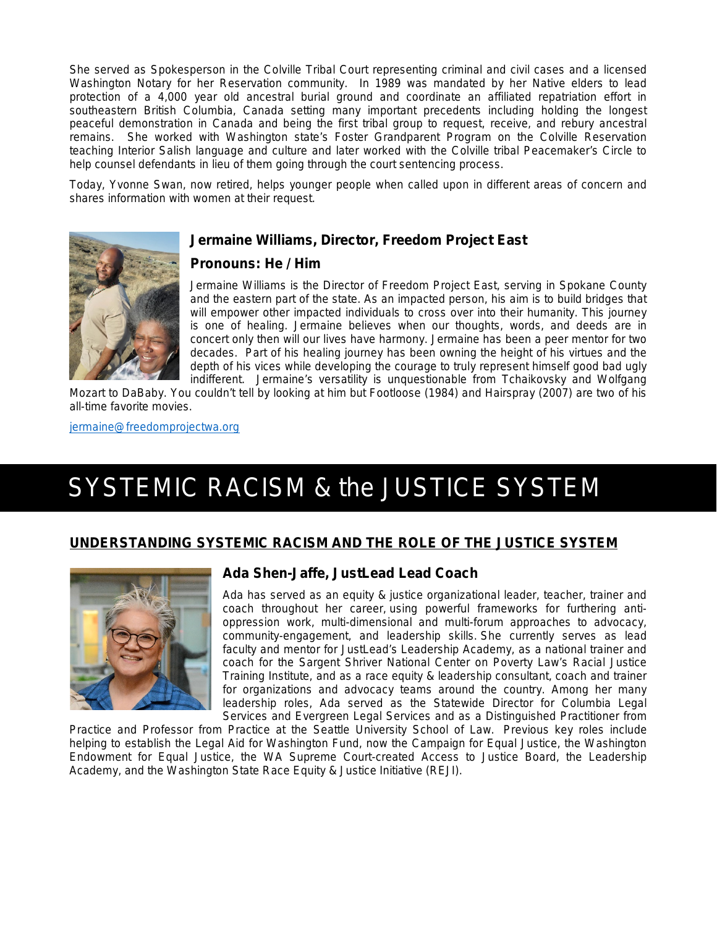She served as Spokesperson in the Colville Tribal Court representing criminal and civil cases and a licensed Washington Notary for her Reservation community. In 1989 was mandated by her Native elders to lead protection of a 4,000 year old ancestral burial ground and coordinate an affiliated repatriation effort in southeastern British Columbia, Canada setting many important precedents including holding the longest peaceful demonstration in Canada and being the first tribal group to request, receive, and rebury ancestral remains. She worked with Washington state's Foster Grandparent Program on the Colville Reservation teaching Interior Salish language and culture and later worked with the Colville tribal Peacemaker's Circle to help counsel defendants in lieu of them going through the court sentencing process.

Today, Yvonne Swan, now retired, helps younger people when called upon in different areas of concern and shares information with women at their request.

### **Jermaine Williams, Director, Freedom Project East**



Jermaine Williams is the Director of Freedom Project East, serving in Spokane County and the eastern part of the state. As an impacted person, his aim is to build bridges that will empower other impacted individuals to cross over into their humanity. This journey is one of healing. Jermaine believes when our thoughts, words, and deeds are in concert only then will our lives have harmony. Jermaine has been a peer mentor for two decades. Part of his healing journey has been owning the height of his virtues and the depth of his vices while developing the courage to truly represent himself good bad ugly indifferent. Jermaine's versatility is unquestionable from Tchaikovsky and Wolfgang

Mozart to DaBaby. You couldn't tell by looking at him but Footloose (1984) and Hairspray (2007) are two of his all-time favorite movies.

[jermaine@freedomprojectwa.org](mailto:jermaine@freedomprojectwa.org)

# SYSTEMIC RACISM & the JUSTICE SYSTEM

#### **UNDERSTANDING SYSTEMIC RACISM AND THE ROLE OF THE JUSTICE SYSTEM**



## **Ada Shen-Jaffe, JustLead Lead Coach**

Ada has served as an equity & justice organizational leader, teacher, trainer and coach throughout her career, using powerful frameworks for furthering antioppression work, multi-dimensional and multi-forum approaches to advocacy, community-engagement, and leadership skills. She currently serves as lead faculty and mentor for JustLead's Leadership Academy, as a national trainer and coach for the Sargent Shriver National Center on Poverty Law's Racial Justice Training Institute, and as a race equity & leadership consultant, coach and trainer for organizations and advocacy teams around the country. Among her many leadership roles, Ada served as the Statewide Director for Columbia Legal Services and Evergreen Legal Services and as a Distinguished Practitioner from

Practice and Professor from Practice at the Seattle University School of Law. Previous key roles include helping to establish the Legal Aid for Washington Fund, now the Campaign for Equal Justice, the Washington Endowment for Equal Justice, the WA Supreme Court-created Access to Justice Board, the Leadership Academy, and the Washington State Race Equity & Justice Initiative (REJI).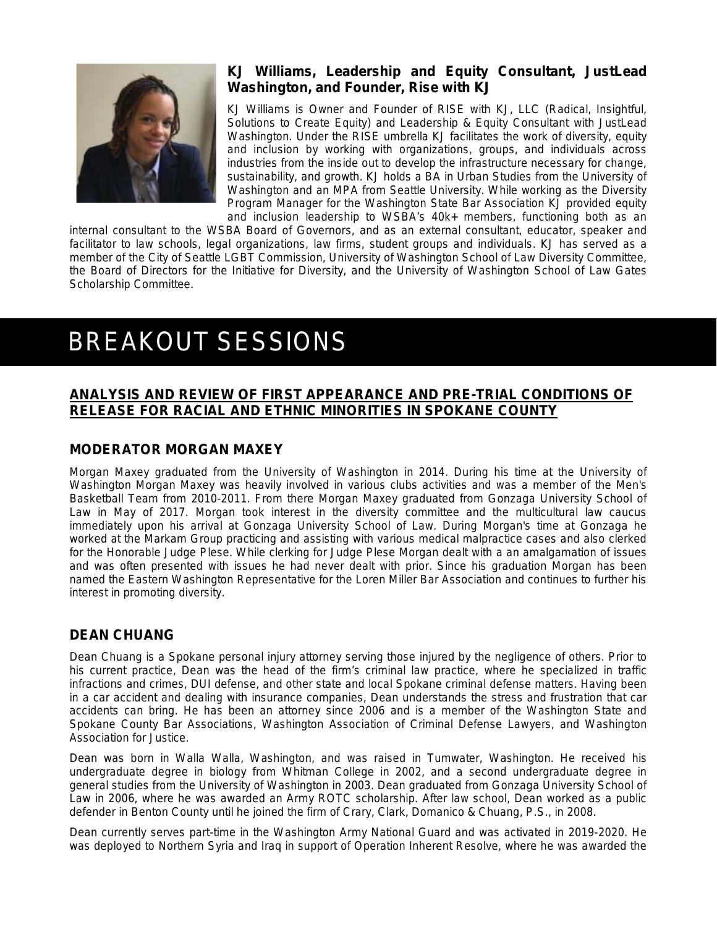

# **KJ Williams, Leadership and Equity Consultant, JustLead Washington, and Founder, Rise with KJ**

KJ Williams is Owner and Founder of [RISE with KJ, LLC](https://risewithkj.com/) (Radical, Insightful, Solutions to Create Equity) and Leadership & Equity Consultant with JustLead Washington. Under the RISE umbrella KJ facilitates the work of diversity, equity and inclusion by working with organizations, groups, and individuals across industries from the inside out to develop the infrastructure necessary for change, sustainability, and growth. KJ holds a BA in Urban Studies from the University of Washington and an MPA from Seattle University. While working as the Diversity Program Manager for the Washington State Bar Association KJ provided equity and inclusion leadership to WSBA's 40k+ members, functioning both as an

internal consultant to the WSBA Board of Governors, and as an external consultant, educator, speaker and facilitator to law schools, legal organizations, law firms, student groups and individuals. KJ has served as a member of the City of Seattle LGBT Commission, University of Washington School of Law Diversity Committee, the Board of Directors for the Initiative for Diversity, and the University of Washington School of Law Gates Scholarship Committee.

# BREAKOUT SESSIONS

# **ANALYSIS AND REVIEW OF FIRST APPEARANCE AND PRE-TRIAL CONDITIONS OF RELEASE FOR RACIAL AND ETHNIC MINORITIES IN SPOKANE COUNTY**

## **MODERATOR MORGAN MAXEY**

Morgan Maxey graduated from the University of Washington in 2014. During his time at the University of Washington Morgan Maxey was heavily involved in various clubs activities and was a member of the Men's Basketball Team from 2010-2011. From there Morgan Maxey graduated from Gonzaga University School of Law in May of 2017. Morgan took interest in the diversity committee and the multicultural law caucus immediately upon his arrival at Gonzaga University School of Law. During Morgan's time at Gonzaga he worked at the Markam Group practicing and assisting with various medical malpractice cases and also clerked for the Honorable Judge Plese. While clerking for Judge Plese Morgan dealt with a an amalgamation of issues and was often presented with issues he had never dealt with prior. Since his graduation Morgan has been named the Eastern Washington Representative for the Loren Miller Bar Association and continues to further his interest in promoting diversity.

# **DEAN CHUANG**

Dean Chuang is a Spokane personal injury attorney serving those injured by the negligence of others. Prior to his current practice, Dean was the head of the firm's criminal law practice, where he specialized in traffic infractions and crimes, DUI defense, and other state and local Spokane criminal defense matters. Having been in a car accident and dealing with insurance companies, Dean understands the stress and frustration that car accidents can bring. He has been an attorney since 2006 and is a member of the Washington State and Spokane County Bar Associations, Washington Association of Criminal Defense Lawyers, and Washington Association for Justice.

Dean was born in Walla Walla, Washington, and was raised in Tumwater, Washington. He received his undergraduate degree in biology from Whitman College in 2002, and a second undergraduate degree in general studies from the University of Washington in 2003. Dean graduated from Gonzaga University School of Law in 2006, where he was awarded an Army ROTC scholarship. After law school, Dean worked as a public defender in Benton County until he joined the firm of Crary, Clark, Domanico & Chuang, P.S., in 2008.

Dean currently serves part-time in the Washington Army National Guard and was activated in 2019-2020. He was deployed to Northern Syria and Iraq in support of Operation Inherent Resolve, where he was awarded the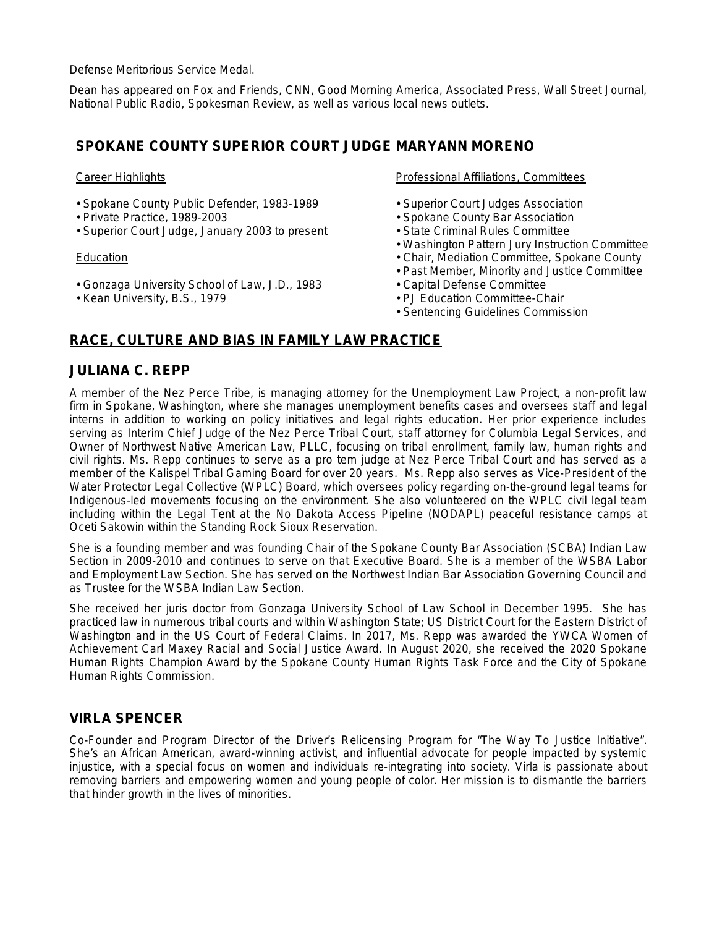Defense Meritorious Service Medal.

Dean has appeared on Fox and Friends, CNN, Good Morning America, Associated Press, Wall Street Journal, National Public Radio, Spokesman Review, as well as various local news outlets.

## **SPOKANE COUNTY SUPERIOR COURT JUDGE MARYANN MORENO**

#### Career Highlights

- Spokane County Public Defender, 1983-1989
- Private Practice, 1989-2003
- Superior Court Judge, January 2003 to present

#### Education

- Gonzaga University School of Law, J.D., 1983
- Kean University, B.S., 1979

Professional Affiliations, Committees

- Superior Court Judges Association
- Spokane County Bar Association
- State Criminal Rules Committee
- Washington Pattern Jury Instruction Committee
- Chair, Mediation Committee, Spokane County
- Past Member, Minority and Justice Committee
- Capital Defense Committee
- PJ Education Committee-Chair
- Sentencing Guidelines Commission

# **RACE, CULTURE AND BIAS IN FAMILY LAW PRACTICE**

### **JULIANA C. REPP**

A member of the Nez Perce Tribe, is managing attorney for the Unemployment Law Project, a non-profit law firm in Spokane, Washington, where she manages unemployment benefits cases and oversees staff and legal interns in addition to working on policy initiatives and legal rights education. Her prior experience includes serving as Interim Chief Judge of the Nez Perce Tribal Court, staff attorney for Columbia Legal Services, and Owner of Northwest Native American Law, PLLC, focusing on tribal enrollment, family law, human rights and civil rights. Ms. Repp continues to serve as a pro tem judge at Nez Perce Tribal Court and has served as a member of the Kalispel Tribal Gaming Board for over 20 years. Ms. Repp also serves as Vice-President of the Water Protector Legal Collective (WPLC) Board, which oversees policy regarding on-the-ground legal teams for Indigenous-led movements focusing on the environment. She also volunteered on the WPLC civil legal team including within the Legal Tent at the No Dakota Access Pipeline (NODAPL) peaceful resistance camps at Oceti Sakowin within the Standing Rock Sioux Reservation.

She is a founding member and was founding Chair of the Spokane County Bar Association (SCBA) Indian Law Section in 2009-2010 and continues to serve on that Executive Board. She is a member of the WSBA Labor and Employment Law Section. She has served on the Northwest Indian Bar Association Governing Council and as Trustee for the WSBA Indian Law Section.

She received her juris doctor from Gonzaga University School of Law School in December 1995. She has practiced law in numerous tribal courts and within Washington State; US District Court for the Eastern District of Washington and in the US Court of Federal Claims. In 2017, Ms. Repp was awarded the YWCA Women of Achievement Carl Maxey Racial and Social Justice Award. In August 2020, she received the 2020 Spokane Human Rights Champion Award by the Spokane County Human Rights Task Force and the City of Spokane Human Rights Commission.

# **VIRLA SPENCER**

Co-Founder and Program Director of the Driver's Relicensing Program for "The Way To Justice Initiative". She's an African American, award-winning activist, and influential advocate for people impacted by systemic injustice, with a special focus on women and individuals re-integrating into society. Virla is passionate about removing barriers and empowering women and young people of color. Her mission is to dismantle the barriers that hinder growth in the lives of minorities.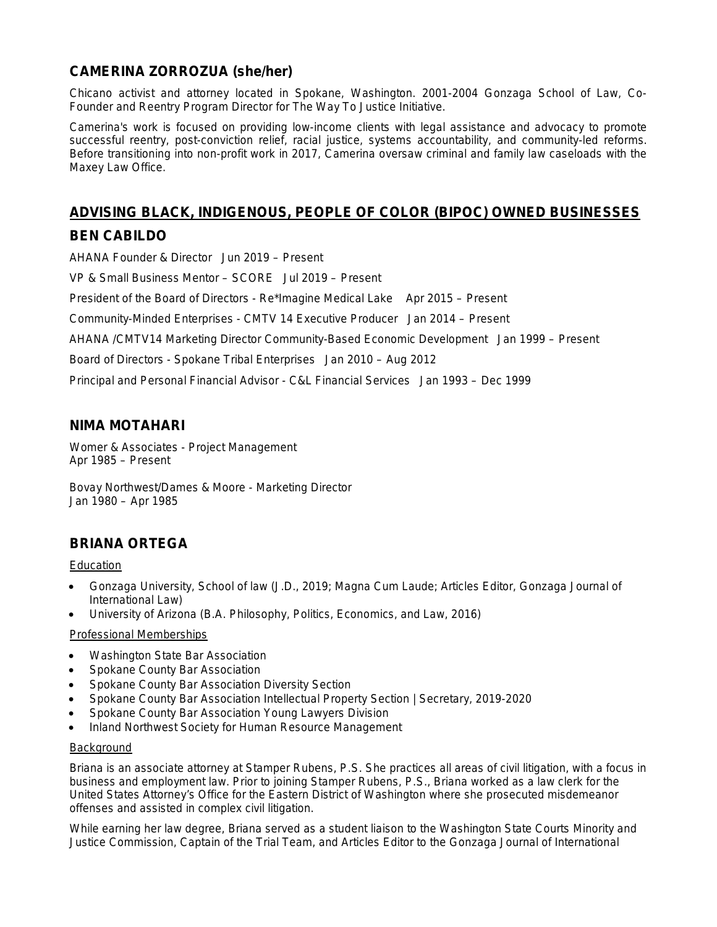# **CAMERINA ZORROZUA (she/her)**

Chicano activist and attorney located in Spokane, Washington. 2001-2004 Gonzaga School of Law, Co-Founder and Reentry Program Director for The Way To Justice Initiative.

Camerina's work is focused on providing low-income clients with legal assistance and advocacy to promote successful reentry, post-conviction relief, racial justice, systems accountability, and community-led reforms. Before transitioning into non-profit work in 2017, Camerina oversaw criminal and family law caseloads with the Maxey Law Office.

# **ADVISING BLACK, INDIGENOUS, PEOPLE OF COLOR (BIPOC) OWNED BUSINESSES BEN CABILDO**

AHANA Founder & Director Jun 2019 – Present VP & Small Business Mentor – SCORE Jul 2019 – Present President of the Board of Directors - Re\*Imagine Medical Lake Apr 2015 – Present Community-Minded Enterprises - CMTV 14 Executive Producer Jan 2014 – Present AHANA /CMTV14 Marketing Director Community-Based Economic Development Jan 1999 – Present Board of Directors - Spokane Tribal Enterprises Jan 2010 – Aug 2012

Principal and Personal Financial Advisor - C&L Financial Services Jan 1993 – Dec 1999

# **NIMA MOTAHARI**

Womer & Associates - Project Management Apr 1985 – Present

Bovay Northwest/Dames & Moore - Marketing Director Jan 1980 – Apr 1985

# **BRIANA ORTEGA**

**Education** 

- Gonzaga University, School of law (J.D., 2019; Magna Cum Laude; Articles Editor, Gonzaga Journal of International Law)
- University of Arizona (B.A. Philosophy, Politics, Economics, and Law, 2016)

#### Professional Memberships

- Washington State Bar Association
- Spokane County Bar Association
- Spokane County Bar Association Diversity Section
- Spokane County Bar Association Intellectual Property Section | Secretary, 2019-2020
- Spokane County Bar Association Young Lawyers Division
- Inland Northwest Society for Human Resource Management

#### **Background**

Briana is an associate attorney at Stamper Rubens, P.S. She practices all areas of civil litigation, with a focus in business and employment law. Prior to joining Stamper Rubens, P.S., Briana worked as a law clerk for the United States Attorney's Office for the Eastern District of Washington where she prosecuted misdemeanor offenses and assisted in complex civil litigation.

While earning her law degree, Briana served as a student liaison to the Washington State Courts Minority and Justice Commission, Captain of the Trial Team, and Articles Editor to the Gonzaga Journal of International